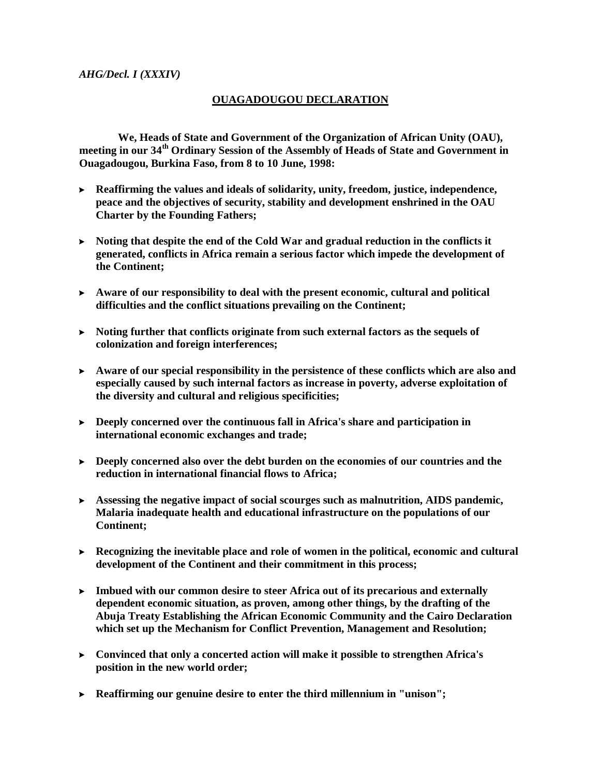#### *AHG/Decl. I (XXXIV)*

### **OUAGADOUGOU DECLARATION**

 **We, Heads of State and Government of the Organization of African Unity (OAU), meeting in our 34th Ordinary Session of the Assembly of Heads of State and Government in Ouagadougou, Burkina Faso, from 8 to 10 June, 1998:** 

- ? **Reaffirming the values and ideals of solidarity, unity, freedom, justice, independence, peace and the objectives of security, stability and development enshrined in the OAU Charter by the Founding Fathers;**
- ? **Noting that despite the end of the Cold War and gradual reduction in the conflicts it generated, conflicts in Africa remain a serious factor which impede the development of the Continent;**
- ? **Aware of our responsibility to deal with the present economic, cultural and political difficulties and the conflict situations prevailing on the Continent;**
- ? **Noting further that conflicts originate from such external factors as the sequels of colonization and foreign interferences;**
- ? **Aware of our special responsibility in the persistence of these conflicts which are also and especially caused by such internal factors as increase in poverty, adverse exploitation of the diversity and cultural and religious specificities;**
- ? **Deeply concerned over the continuous fall in Africa's share and participation in international economic exchanges and trade;**
- ? **Deeply concerned also over the debt burden on the economies of our countries and the reduction in international financial flows to Africa;**
- ? **Assessing the negative impact of social scourges such as malnutrition, AIDS pandemic, Malaria inadequate health and educational infrastructure on the populations of our Continent;**
- ? **Recognizing the inevitable place and role of women in the political, economic and cultural development of the Continent and their commitment in this process;**
- ? **Imbued with our common desire to steer Africa out of its precarious and externally dependent economic situation, as proven, among other things, by the drafting of the Abuja Treaty Establishing the African Economic Community and the Cairo Declaration which set up the Mechanism for Conflict Prevention, Management and Resolution;**
- ? **Convinced that only a concerted action will make it possible to strengthen Africa's position in the new world order;**
- ? **Reaffirming our genuine desire to enter the third millennium in "unison";**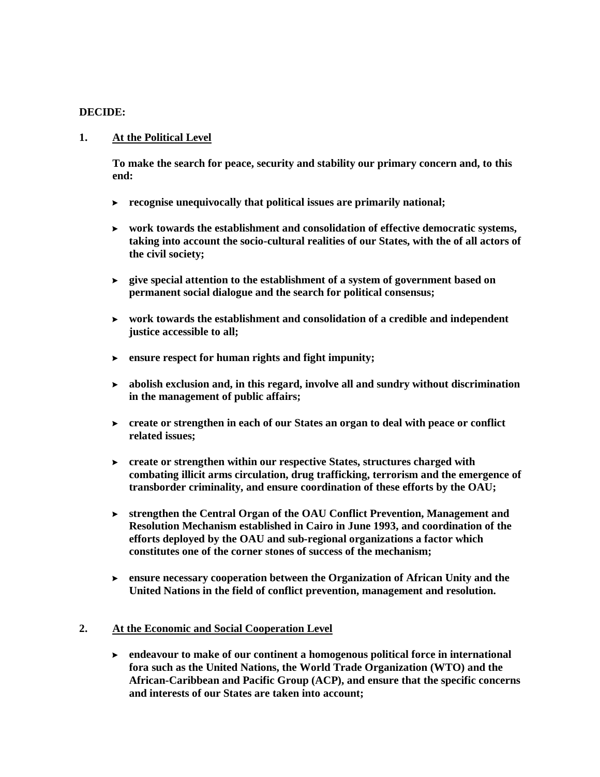### **DECIDE:**

### **1. At the Political Level**

**To make the search for peace, security and stability our primary concern and, to this end:** 

- ? **recognise unequivocally that political issues are primarily national;**
- ? **work towards the establishment and consolidation of effective democratic systems, taking into account the socio-cultural realities of our States, with the of all actors of the civil society;**
- ? **give special attention to the establishment of a system of government based on permanent social dialogue and the search for political consensus;**
- ? **work towards the establishment and consolidation of a credible and independent justice accessible to all;**
- ? **ensure respect for human rights and fight impunity;**
- ? **abolish exclusion and, in this regard, involve all and sundry without discrimination in the management of public affairs;**
- ? **create or strengthen in each of our States an organ to deal with peace or conflict related issues;**
- ? **create or strengthen within our respective States, structures charged with combating illicit arms circulation, drug trafficking, terrorism and the emergence of transborder criminality, and ensure coordination of these efforts by the OAU;**
- ? **strengthen the Central Organ of the OAU Conflict Prevention, Management and Resolution Mechanism established in Cairo in June 1993, and coordination of the efforts deployed by the OAU and sub-regional organizations a factor which constitutes one of the corner stones of success of the mechanism;**
- ? **ensure necessary cooperation between the Organization of African Unity and the United Nations in the field of conflict prevention, management and resolution.**

# **2. At the Economic and Social Cooperation Level**

? **endeavour to make of our continent a homogenous political force in international fora such as the United Nations, the World Trade Organization (WTO) and the African-Caribbean and Pacific Group (ACP), and ensure that the specific concerns and interests of our States are taken into account;**